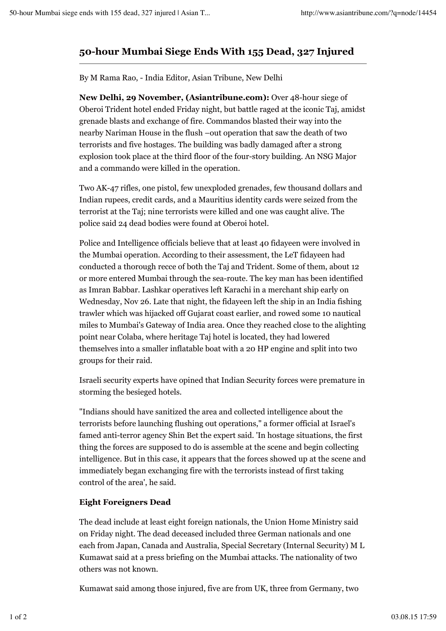## **50-hour Mumbai Siege Ends With 155 Dead, 327 Injured**

By M Rama Rao, - India Editor, Asian Tribune, New Delhi

**New Delhi, 29 November, (Asiantribune.com):** Over 48-hour siege of Oberoi Trident hotel ended Friday night, but battle raged at the iconic Taj, amidst grenade blasts and exchange of fire. Commandos blasted their way into the nearby Nariman House in the flush –out operation that saw the death of two terrorists and five hostages. The building was badly damaged after a strong explosion took place at the third floor of the four-story building. An NSG Major and a commando were killed in the operation.

Two AK-47 rifles, one pistol, few unexploded grenades, few thousand dollars and Indian rupees, credit cards, and a Mauritius identity cards were seized from the terrorist at the Taj; nine terrorists were killed and one was caught alive. The police said 24 dead bodies were found at Oberoi hotel.

Police and Intelligence officials believe that at least 40 fidayeen were involved in the Mumbai operation. According to their assessment, the LeT fidayeen had conducted a thorough recce of both the Taj and Trident. Some of them, about 12 or more entered Mumbai through the sea-route. The key man has been identified as Imran Babbar. Lashkar operatives left Karachi in a merchant ship early on Wednesday, Nov 26. Late that night, the fidayeen left the ship in an India fishing trawler which was hijacked off Gujarat coast earlier, and rowed some 10 nautical miles to Mumbai's Gateway of India area. Once they reached close to the alighting point near Colaba, where heritage Taj hotel is located, they had lowered themselves into a smaller inflatable boat with a 20 HP engine and split into two groups for their raid.

Israeli security experts have opined that Indian Security forces were premature in storming the besieged hotels.

"Indians should have sanitized the area and collected intelligence about the terrorists before launching flushing out operations," a former official at Israel's famed anti-terror agency Shin Bet the expert said. 'In hostage situations, the first thing the forces are supposed to do is assemble at the scene and begin collecting intelligence. But in this case, it appears that the forces showed up at the scene and immediately began exchanging fire with the terrorists instead of first taking control of the area', he said.

## **Eight Foreigners Dead**

The dead include at least eight foreign nationals, the Union Home Ministry said on Friday night. The dead deceased included three German nationals and one each from Japan, Canada and Australia, Special Secretary (Internal Security) M L Kumawat said at a press briefing on the Mumbai attacks. The nationality of two others was not known.

Kumawat said among those injured, five are from UK, three from Germany, two